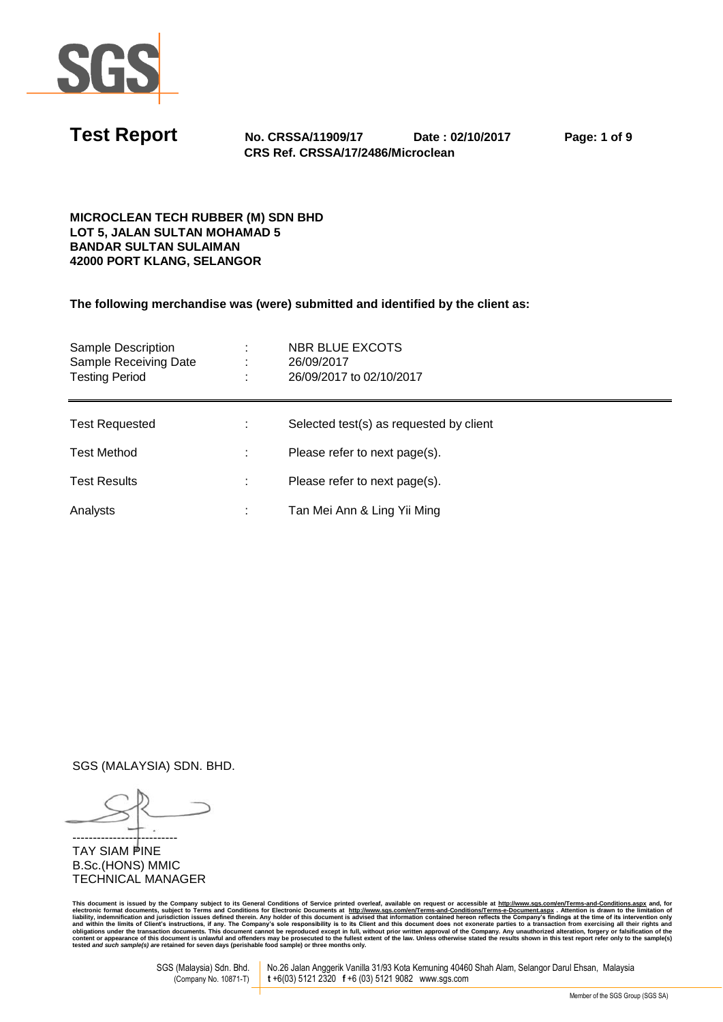

**Test Report No. CRSSA/11909/17 Date : 02/10/2017 Page: 1 of 9 CRS Ref. CRSSA/17/2486/Microclean** 

## **MICROCLEAN TECH RUBBER (M) SDN BHD LOT 5, JALAN SULTAN MOHAMAD 5 BANDAR SULTAN SULAIMAN 42000 PORT KLANG, SELANGOR**

**The following merchandise was (were) submitted and identified by the client as:** 

| Sample Description<br>Sample Receiving Date<br><b>Testing Period</b> | ٠. | NBR BLUE EXCOTS<br>26/09/2017<br>26/09/2017 to 02/10/2017 |
|----------------------------------------------------------------------|----|-----------------------------------------------------------|
| <b>Test Requested</b>                                                |    | Selected test(s) as requested by client                   |
| <b>Test Method</b>                                                   |    | Please refer to next page(s).                             |
| <b>Test Results</b>                                                  |    | Please refer to next page(s).                             |
| Analysts                                                             |    | Tan Mei Ann & Ling Yii Ming                               |

SGS (MALAYSIA) SDN. BHD.

-------------------------- **TAY SIAM PINE** B.Sc.(HONS) MMIC TECHNICAL MANAGER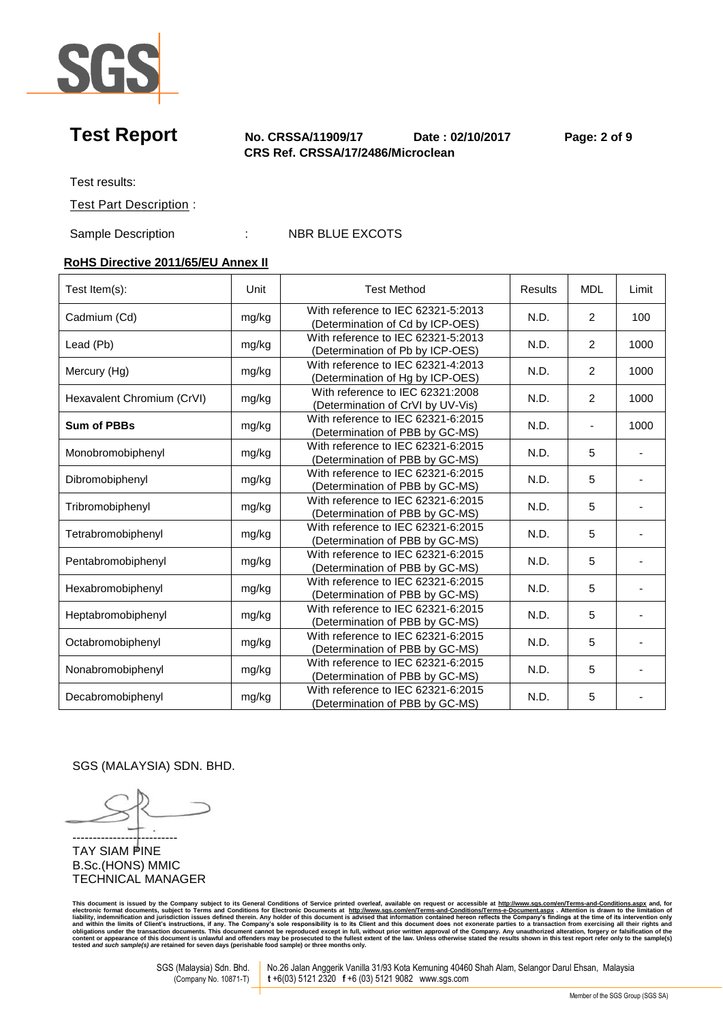

## **Test Report No. CRSSA/11909/17 Date : 02/10/2017 Page: 2 of 9 CRS Ref. CRSSA/17/2486/Microclean**

Test results:

Test Part Description :

Sample Description : NBR BLUE EXCOTS

# **RoHS Directive 2011/65/EU Annex II**

| Test Item(s):              | Unit  | <b>Test Method</b>                                                     | <b>Results</b> | <b>MDL</b>                   | Limit |
|----------------------------|-------|------------------------------------------------------------------------|----------------|------------------------------|-------|
| Cadmium (Cd)               | mg/kg | With reference to IEC 62321-5:2013<br>(Determination of Cd by ICP-OES) | N.D.           | 2                            | 100   |
| Lead (Pb)                  | mg/kg | With reference to IEC 62321-5:2013<br>(Determination of Pb by ICP-OES) | N.D.           | $\overline{2}$               | 1000  |
| Mercury (Hg)               | mg/kg | With reference to IEC 62321-4:2013<br>(Determination of Hg by ICP-OES) | N.D.           | $\overline{2}$               | 1000  |
| Hexavalent Chromium (CrVI) | mg/kg | With reference to IEC 62321:2008<br>(Determination of CrVI by UV-Vis)  | N.D.           | 2                            | 1000  |
| <b>Sum of PBBs</b>         | mg/kg | With reference to IEC 62321-6:2015<br>(Determination of PBB by GC-MS)  | N.D.           | $\qquad \qquad \blacksquare$ | 1000  |
| Monobromobiphenyl          | mg/kg | With reference to IEC 62321-6:2015<br>(Determination of PBB by GC-MS)  | N.D.           | 5                            |       |
| Dibromobiphenyl            | mg/kg | With reference to IEC 62321-6:2015<br>(Determination of PBB by GC-MS)  | N.D.           | 5                            |       |
| Tribromobiphenyl           | mg/kg | With reference to IEC 62321-6:2015<br>(Determination of PBB by GC-MS)  | N.D.           | 5                            |       |
| Tetrabromobiphenyl         | mg/kg | With reference to IEC 62321-6:2015<br>(Determination of PBB by GC-MS)  | N.D.           | 5                            |       |
| Pentabromobiphenyl         | mg/kg | With reference to IEC 62321-6:2015<br>(Determination of PBB by GC-MS)  | N.D.           | 5                            |       |
| Hexabromobiphenyl          | mg/kg | With reference to IEC 62321-6:2015<br>(Determination of PBB by GC-MS)  | N.D.           | 5                            |       |
| Heptabromobiphenyl         | mg/kg | With reference to IEC 62321-6:2015<br>(Determination of PBB by GC-MS)  | N.D.           | 5                            |       |
| Octabromobiphenyl          | mg/kg | With reference to IEC 62321-6:2015<br>(Determination of PBB by GC-MS)  | N.D.           | 5                            |       |
| Nonabromobiphenyl          | mg/kg | With reference to IEC 62321-6:2015<br>(Determination of PBB by GC-MS)  | N.D.           | 5                            |       |
| Decabromobiphenyl          | mg/kg | With reference to IEC 62321-6:2015<br>(Determination of PBB by GC-MS)  | N.D.           | 5                            |       |

SGS (MALAYSIA) SDN. BHD.

-------------------------- **TAY SIAM PINE** B.Sc.(HONS) MMIC TECHNICAL MANAGER

This document is issued by the Company subject to its General Conditions of Service printed overleaf, available on request or accessible at <u>http://www.stg.com/en/Terms-and-Conditions?Ferms-e-Document.aspx . Attention is d</u>

SGS (Malaysia) Sdn. Bhd. No.26 Jalan Anggerik Vanilla 31/93 Kota Kemuning 40460 Shah Alam, Selangor Darul Ehsan, Malaysia<br>(Company No. 10871-T) t +6(03) 5121 2320 f +6 (03) 5121 9082 www.sgs.com  $t + 6(03)$  5121 2320  $t + 6(03)$  5121 9082 www.sgs.com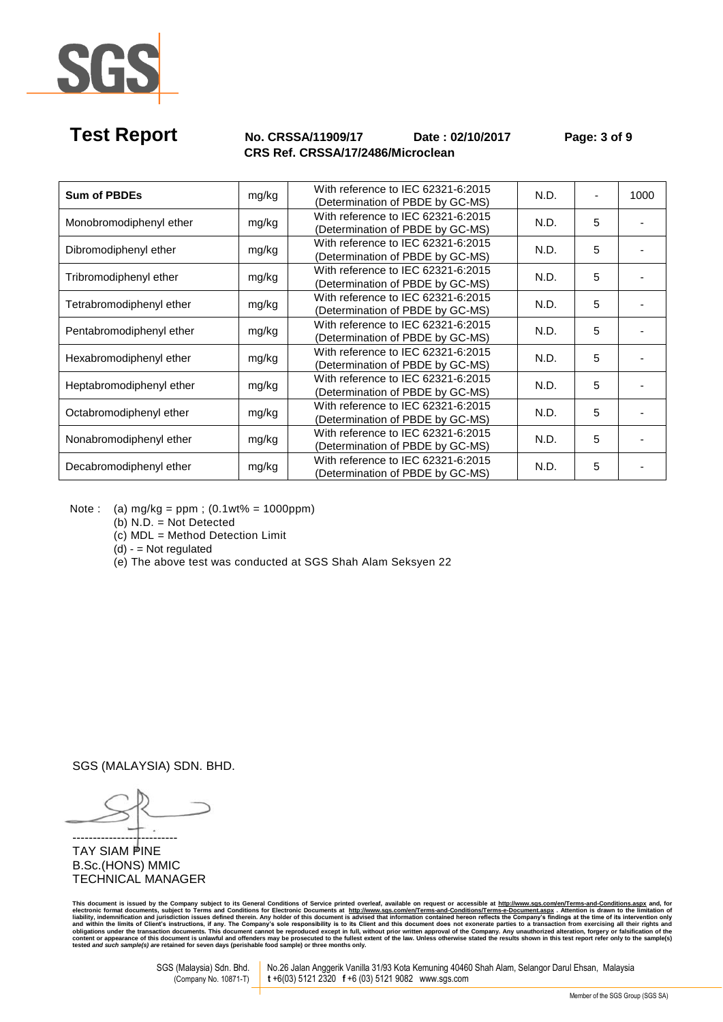

# **Test Report No. CRSSA/11909/17 Date : 02/10/2017 Page: 3 of 9 CRS Ref. CRSSA/17/2486/Microclean**

| <b>Sum of PBDEs</b>      | mg/kg | With reference to IEC 62321-6:2015<br>(Determination of PBDE by GC-MS) | N.D. |   | 1000 |
|--------------------------|-------|------------------------------------------------------------------------|------|---|------|
| Monobromodiphenyl ether  | mg/kg | With reference to IEC 62321-6:2015<br>(Determination of PBDE by GC-MS) | N.D. | 5 |      |
| Dibromodiphenyl ether    | mg/kg | With reference to IEC 62321-6:2015<br>(Determination of PBDE by GC-MS) | N.D. | 5 |      |
| Tribromodiphenyl ether   | mg/kg | With reference to IEC 62321-6:2015<br>(Determination of PBDE by GC-MS) | N.D. | 5 |      |
| Tetrabromodiphenyl ether | mg/kg | With reference to IEC 62321-6:2015<br>(Determination of PBDE by GC-MS) | N.D. | 5 |      |
| Pentabromodiphenyl ether | mg/kg | With reference to IEC 62321-6:2015<br>(Determination of PBDE by GC-MS) | N.D. | 5 |      |
| Hexabromodiphenyl ether  | mg/kg | With reference to IEC 62321-6:2015<br>(Determination of PBDE by GC-MS) | N.D. | 5 |      |
| Heptabromodiphenyl ether | mg/kg | With reference to IEC 62321-6:2015<br>(Determination of PBDE by GC-MS) | N.D. | 5 |      |
| Octabromodiphenyl ether  | mg/kg | With reference to IEC 62321-6:2015<br>(Determination of PBDE by GC-MS) | N.D. | 5 |      |
| Nonabromodiphenyl ether  | mg/kg | With reference to IEC 62321-6:2015<br>(Determination of PBDE by GC-MS) | N.D. | 5 |      |
| Decabromodiphenyl ether  | mg/kg | With reference to IEC 62321-6:2015<br>(Determination of PBDE by GC-MS) | N.D. | 5 |      |

Note : (a) mg/kg = ppm ; (0.1wt% = 1000ppm)

(b) N.D. = Not Detected

(c) MDL = Method Detection Limit

 $(d) - Not$  regulated

(e) The above test was conducted at SGS Shah Alam Seksyen 22

SGS (MALAYSIA) SDN. BHD.

-------------------------- **TAY SIAM PINE** B.Sc.(HONS) MMIC TECHNICAL MANAGER

This document is issued by the Company subject to its General Conditions of Service printed overleaf, available on request or accessible at <u>http://www.stg.com/en/Terms-and-Conditions?Ferms-e-Document.aspx . Attention is d</u>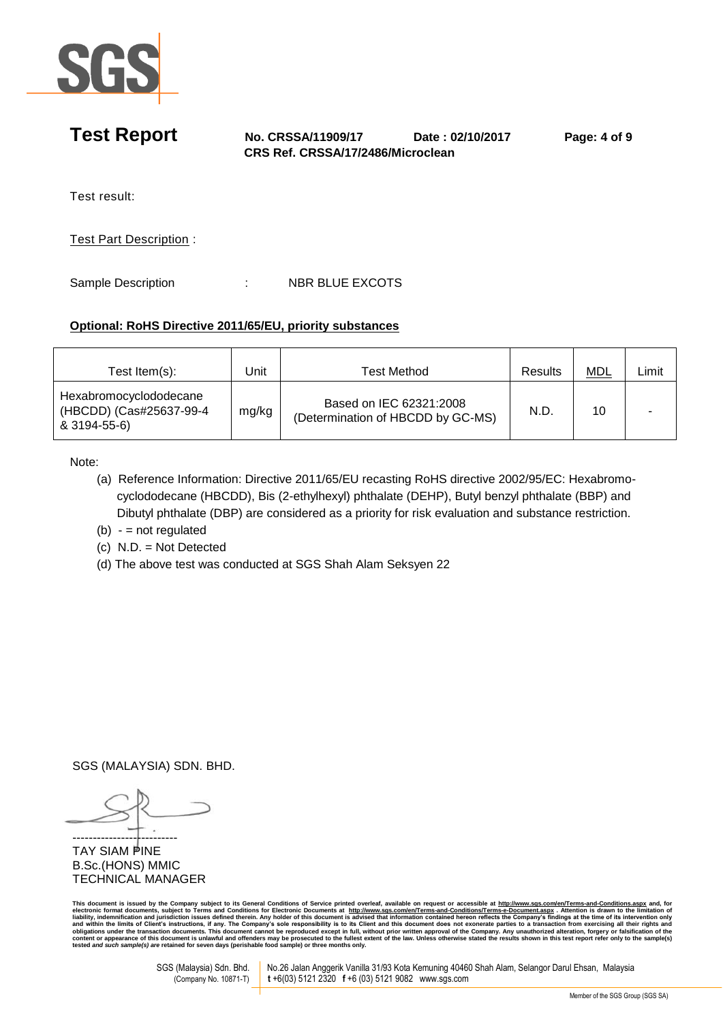

# **Test Report No. CRSSA/11909/17 Date : 02/10/2017 Page: 4 of 9 CRS Ref. CRSSA/17/2486/Microclean**  Test result: Test Part Description :

Sample Description : NBR BLUE EXCOTS

## **Optional: RoHS Directive 2011/65/EU, priority substances**

| Test $Item(s)$ :                                                  | Jnit  | <b>Test Method</b>                                           | Results | <b>MDL</b> | _imit |
|-------------------------------------------------------------------|-------|--------------------------------------------------------------|---------|------------|-------|
| Hexabromocyclododecane<br>(HBCDD) (Cas#25637-99-4<br>& 3194-55-6) | mg/kg | Based on IEC 62321:2008<br>(Determination of HBCDD by GC-MS) | N.D     | 10         |       |

Note:

- (a) Reference Information: Directive 2011/65/EU recasting RoHS directive 2002/95/EC: Hexabromo cyclododecane (HBCDD), Bis (2-ethylhexyl) phthalate (DEHP), Butyl benzyl phthalate (BBP) and Dibutyl phthalate (DBP) are considered as a priority for risk evaluation and substance restriction.
- $(b) -$  = not regulated
- (c) N.D. = Not Detected
- (d) The above test was conducted at SGS Shah Alam Seksyen 22

SGS (MALAYSIA) SDN. BHD.

-------------------------- TAY SIAM PINE B.Sc.(HONS) MMIC TECHNICAL MANAGER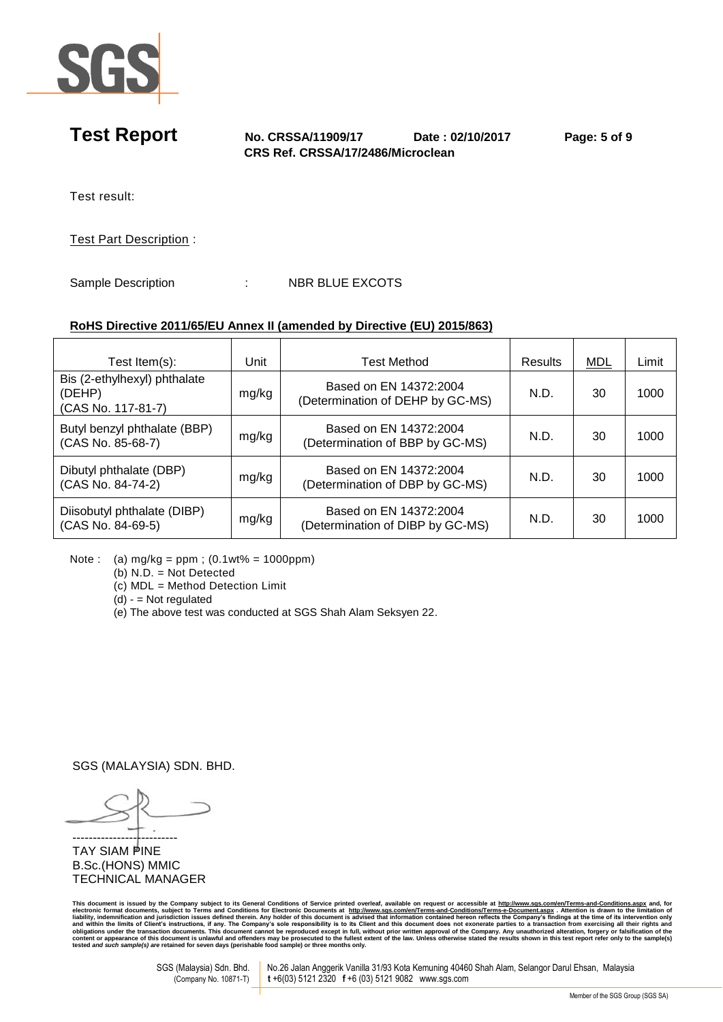

**Test Report No. CRSSA/11909/17 Date : 02/10/2017 Page: 5 of 9 CRS Ref. CRSSA/17/2486/Microclean** 

Test result:

Test Part Description :

Sample Description : NBR BLUE EXCOTS

## **RoHS Directive 2011/65/EU Annex II (amended by Directive (EU) 2015/863)**

| $10010$ Directive ZVT 1709/LO Annex II (dinended by Directive (LO) ZVT910091 |       |                                                            |         |            |       |  |
|------------------------------------------------------------------------------|-------|------------------------------------------------------------|---------|------------|-------|--|
| Test Item $(s)$ :                                                            | Unit  | <b>Test Method</b>                                         | Results | <b>MDL</b> | Limit |  |
| Bis (2-ethylhexyl) phthalate<br>(DEHP)<br>(CAS No. 117-81-7)                 | mg/kg | Based on EN 14372:2004<br>(Determination of DEHP by GC-MS) | N.D.    | 30         | 1000  |  |
| Butyl benzyl phthalate (BBP)<br>(CAS No. 85-68-7)                            | mg/kg | Based on EN 14372:2004<br>(Determination of BBP by GC-MS)  | N.D.    | 30         | 1000  |  |
| Dibutyl phthalate (DBP)<br>(CAS No. 84-74-2)                                 | mg/kg | Based on EN 14372:2004<br>(Determination of DBP by GC-MS)  | N.D.    | 30         | 1000  |  |
| Diisobutyl phthalate (DIBP)<br>(CAS No. 84-69-5)                             | mg/kg | Based on EN 14372:2004<br>(Determination of DIBP by GC-MS) | N.D.    | 30         | 1000  |  |

Note : (a) mg/kg = ppm ; (0.1wt% = 1000ppm)

(b) N.D. = Not Detected

(c) MDL = Method Detection Limit

 $(d) - Not$  regulated

(e) The above test was conducted at SGS Shah Alam Seksyen 22.

SGS (MALAYSIA) SDN. BHD.

-------------------------- **TAY SIAM PINE** B.Sc.(HONS) MMIC TECHNICAL MANAGER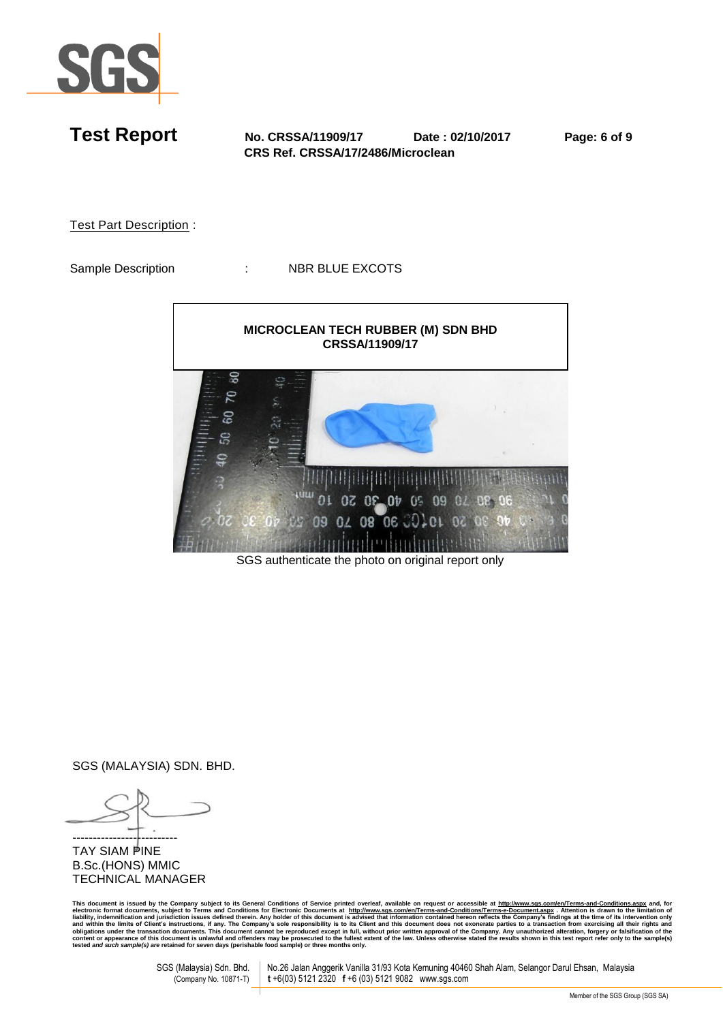

**Test Report No. CRSSA/11909/17 Date : 02/10/2017 Page: 6 of 9 CRS Ref. CRSSA/17/2486/Microclean**  Test Part Description : Sample Description : NBR BLUE EXCOTS **MICROCLEAN TECH RUBBER (M) SDN BHD CRSSA/11909/17**ဒ္ဓ  $\mathbf{Q}$ Š යි 오 júu **02 02 07**  $01$  $0<sup>5</sup>$ 09 04 08 06 0

SGS authenticate the photo on original report only

SGS (MALAYSIA) SDN. BHD.

-------------------------- **TAY SIAM PINE** B.Sc.(HONS) MMIC TECHNICAL MANAGER

This document is issued by the Company subject to its General Conditions of Service printed overleaf, available on request or accessible at <u>http://www.sqs.com/en/Terms-and-Conditions.aspx</u> and, for electronic formation of **tested** *and such sample(s) are* **retained for seven days (perishable food sample) or three months only.** 

SGS (Malaysia) Sdn. Bhd. No.26 Jalan Anggerik Vanilla 31/93 Kota Kemuning 40460 Shah Alam, Selangor Darul Ehsan, Malaysia<br>(Company No. 10871-T) t +6(03) 5121 2320 f +6 (03) 5121 9082 www.sgs.com **t** +6(03) 5121 2320 **f** +6 (03) 5121 9082 www.sgs.com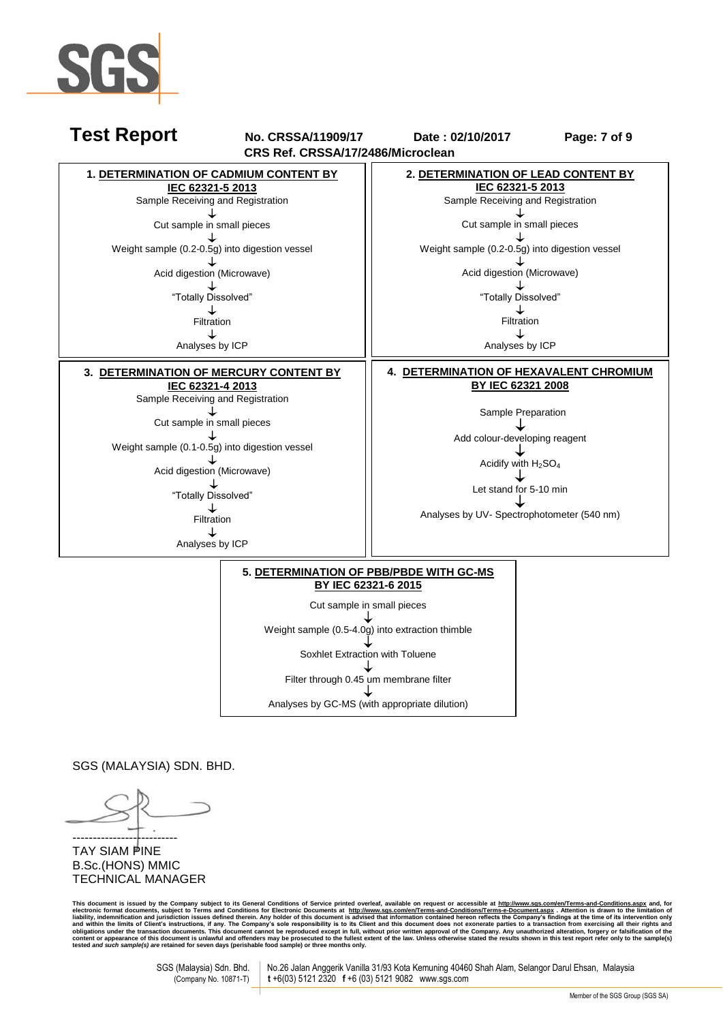



SGS (MALAYSIA) SDN. BHD.

-------------------------- TAY SIAM PINE B.Sc.(HONS) MMIC TECHNICAL MANAGER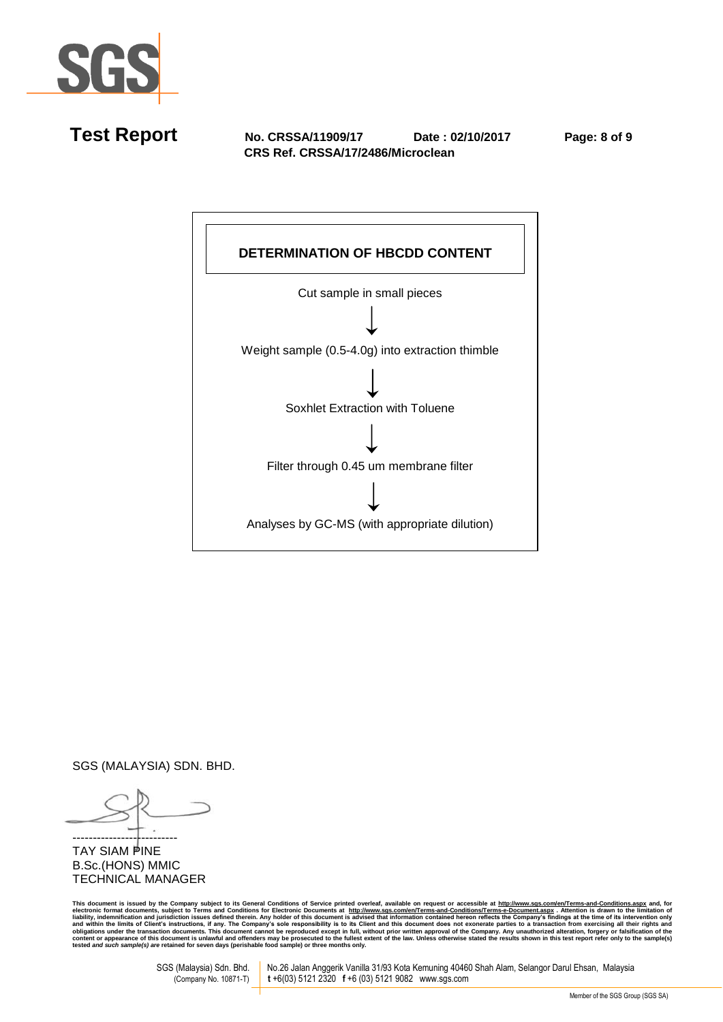

**Test Report No. CRSSA/11909/17 Date : 02/10/2017 Page: 8 of 9 CRS Ref. CRSSA/17/2486/Microclean** 



SGS (MALAYSIA) SDN. BHD.

-------------------------- **TAY SIAM PINE** B.Sc.(HONS) MMIC TECHNICAL MANAGER